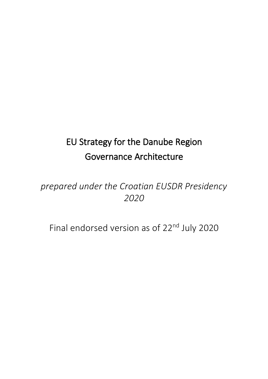# EU Strategy for the Danube Region Governance Architecture

## *prepared under the Croatian EUSDR Presidency 2020*

Final endorsed version as of 22<sup>nd</sup> July 2020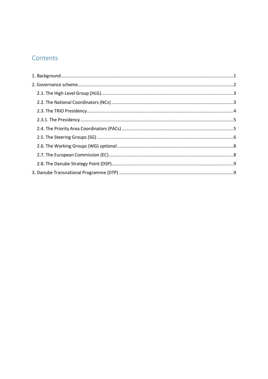## Contents

| ${\bf 1.~Background.}\hspace{1.0cm}.\hspace{1.0cm}.\hspace{1.0cm}.\hspace{1.0cm}.\hspace{1.0cm}.\hspace{1.0cm}.\hspace{1.0cm}.\hspace{1.0cm}.\hspace{1.0cm}.\hspace{1.0cm}.\hspace{1.0cm}.\hspace{1.0cm}.\hspace{1.0cm}.\hspace{1.0cm}.\hspace{1.0cm}.\hspace{1.0cm}.\hspace{1.0cm}.\hspace{1.0cm}.\hspace{1.0cm}.\hspace{1.0cm}.\hspace{1.0cm}.\hspace{1.0cm}.\hspace{1.0cm}.\hspace{1$ |  |
|------------------------------------------------------------------------------------------------------------------------------------------------------------------------------------------------------------------------------------------------------------------------------------------------------------------------------------------------------------------------------------------|--|
|                                                                                                                                                                                                                                                                                                                                                                                          |  |
|                                                                                                                                                                                                                                                                                                                                                                                          |  |
|                                                                                                                                                                                                                                                                                                                                                                                          |  |
|                                                                                                                                                                                                                                                                                                                                                                                          |  |
|                                                                                                                                                                                                                                                                                                                                                                                          |  |
|                                                                                                                                                                                                                                                                                                                                                                                          |  |
|                                                                                                                                                                                                                                                                                                                                                                                          |  |
|                                                                                                                                                                                                                                                                                                                                                                                          |  |
|                                                                                                                                                                                                                                                                                                                                                                                          |  |
|                                                                                                                                                                                                                                                                                                                                                                                          |  |
|                                                                                                                                                                                                                                                                                                                                                                                          |  |
|                                                                                                                                                                                                                                                                                                                                                                                          |  |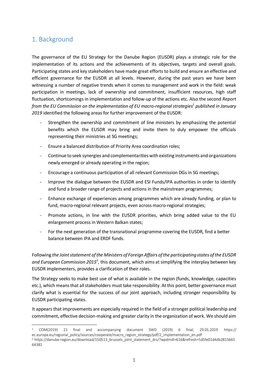## <span id="page-2-0"></span>1. Background

The governance of the EU Strategy for the Danube Region (EUSDR) plays a strategic role for the implementation of its actions and the achievements of its objectives, targets and overall goals. Participating states and key stakeholders have made great efforts to build and ensure an effective and efficient governance for the EUSDR at all levels. However, during the past years we have been witnessing a number of negative trends when it comes to management and work in the field: weak participation in meetings, lack of ownership and commitment, insufficient resources, high staff fluctuation, shortcomings in implementation and follow-up of the actions etc. Also the second *Report from the EU Commission on the implementation of EU macro-regional strategies<sup>1</sup> published in January 2019* identified the following areas for further improvement of the EUSDR:

- Strengthen the ownership and commitment of line ministers by emphasizing the potential benefits which the EUSDR may bring and invite them to duly empower the officials representing their ministries at SG meetings;
- Ensure a balanced distribution of Priority Area coordination roles;
- Continue to seek synergies and complementarities with existing instruments and organizations newly emerged or already operating in the region;
- Encourage a continuous participation of all relevant Commission DGs in SG meetings;
- Improve the dialogue between the EUSDR and ESI Funds/IPA authorities in order to identify and fund a broader range of projects and actions in the mainstream programmes;
- Enhance exchange of experiences among programmes which are already funding, or plan to fund, macro-regional relevant projects, even across macro-regional strategies;
- Promote actions, in line with the EUSDR priorities, which bring added value to the EU enlargement process in Western Balkan states;
- For the next generation of the transnational programme covering the EUSDR, find a better balance between IPA and ERDF funds.

Following *the Joint statement of the Ministers of Foreign Affairs of the participating states of the EUSDR*  and European Commission 2015<sup>2</sup>, this document, which aims at simplifying the interplay between key EUSDR implementers, provides a clarification of their roles.

The Strategy seeks to make best use of what is available in the region (funds, knowledge, capacities etc.), which means that all stakeholders must take responsibility. At this point, better governance must clarify what is essential for the success of our joint approach, including stronger responsibility by EUSDR participating states.

It appears that improvements are especially required in the field of a stronger political leadership and commitment, effective decision-making and greater clarity in the organization of work. We should aim

 $\overline{a}$ <sup>1</sup> COM(2019) 21 final and accompanying document SWD (2019) 6 final, 29.01.2019 https:// ec.europa.eu/regional\_policy/sources/cooperate/macro\_region\_strategy/pdf/2\_implementation\_en.pdf

<sup>&</sup>lt;sup>2</sup> https://danube-region.eu/download/150513\_brussels\_joint\_statement\_drs/?wpdmdl=616&refresh=5d5fe01d4db2815665 64381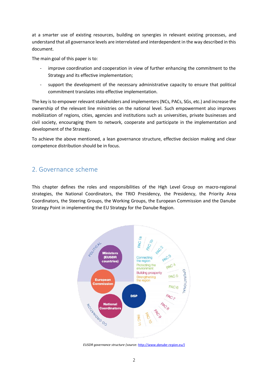at a smarter use of existing resources, building on synergies in relevant existing processes, and understand that all governance levels are interrelated and interdependent in the way described in this document.

The main goal of this paper is to:

- improve coordination and cooperation in view of further enhancing the commitment to the Strategy and its effective implementation;
- support the development of the necessary administrative capacity to ensure that political commitment translates into effective implementation.

The key is to empower relevant stakeholders and implementers (NCs, PACs, SGs, etc.) and increase the ownership of the relevant line ministries on the national level. Such empowerment also improves mobilization of regions, cities, agencies and institutions such as universities, private businesses and civil society, encouraging them to network, cooperate and participate in the implementation and development of the Strategy.

To achieve the above mentioned, a lean governance structure, effective decision making and clear competence distribution should be in focus.

#### <span id="page-3-0"></span>2. Governance scheme

This chapter defines the roles and responsibilities of the High Level Group on macro-regional strategies, the National Coordinators, the TRIO Presidency, the Presidency, the Priority Area Coordinators, the Steering Groups, the Working Groups, the European Commission and the Danube Strategy Point in implementing the EU Strategy for the Danube Region.



*EUSDR governance structure (source[: http://www.danube-region.eu/\)](http://www.danube-region.eu/)*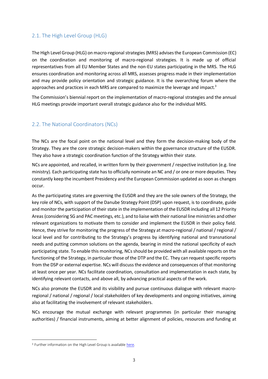#### <span id="page-4-0"></span>2.1. The High Level Group (HLG)

The High Level Group (HLG) on macro-regional strategies (MRS) advises the European Commission (EC) on the coordination and monitoring of macro-regional strategies. It is made up of official representatives from all EU Member States and the non-EU states participating in the MRS. The HLG ensures coordination and monitoring across all MRS, assesses progress made in their implementation and may provide policy orientation and strategic guidance. It is the overarching forum where the approaches and practices in each MRS are compared to maximize the leverage and impact.<sup>3</sup>

The Commission's biennial report on the implementation of macro-regional strategies and the annual HLG meetings provide important overall strategic guidance also for the individual MRS.

#### <span id="page-4-1"></span>2.2. The National Coordinators (NCs)

The NCs are the focal point on the national level and they form the decision-making body of the Strategy. They are the core strategic decision-makers within the governance structure of the EUSDR. They also have a strategic coordination function of the Strategy within their state.

NCs are appointed, and recalled, in written form by their government / respective institution (e.g. line ministry). Each participating state has to officially nominate an NC and / or one or more deputies. They constantly keep the incumbent Presidency and the European Commission updated as soon as changes occur.

As the participating states are governing the EUSDR and they are the sole owners of the Strategy, the key role of NCs, with support of the Danube Strategy Point (DSP) upon request, is to coordinate, guide and monitor the participation of their state in the implementation of the EUSDR including all 12 Priority Areas (considering SG and PAC meetings, etc.), and to liaise with their national line ministries and other relevant organizations to motivate them to consider and implement the EUSDR in their policy field. Hence, they strive for monitoring the progress of the Strategy at macro-regional / national / regional / local level and for contributing to the Strategy's progress by identifying national and transnational needs and putting common solutions on the agenda, bearing in mind the national specificity of each participating state. To enable this monitoring, NCs should be provided with all available reports on the functioning of the Strategy, in particular those of the DTP and the EC. They can request specific reports from the DSP or external expertise. NCs will discuss the evidence and consequences of that monitoring at least once per year. NCs facilitate coordination, consultation and implementation in each state, by identifying relevant contacts, and above all, by advancing practical aspects of the work.

NCs also promote the EUSDR and its visibility and pursue continuous dialogue with relevant macroregional / national / regional / local stakeholders of key developments and ongoing initiatives, aiming also at facilitating the involvement of relevant stakeholders.

NCs encourage the mutual exchange with relevant programmes (in particular their managing authorities) / financial instruments, aiming at better alignment of policies, resources and funding at

 $\overline{a}$ 

<sup>&</sup>lt;sup>3</sup> Further information on the High Level Group is availabl[e here.](https://ec.europa.eu/transparency/regexpert/index.cfm?do=groupDetail.groupDetail&groupID=2455)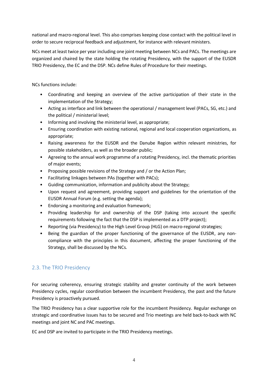national and macro-regional level. This also comprises keeping close contact with the political level in order to secure reciprocal feedback and adjustment, for instance with relevant ministers.

NCs meet at least twice per year including one joint meeting between NCs and PACs. The meetings are organized and chaired by the state holding the rotating Presidency, with the support of the EUSDR TRIO Presidency, the EC and the DSP. NCs define Rules of Procedure for their meetings.

NCs functions include:

- Coordinating and keeping an overview of the active participation of their state in the implementation of the Strategy;
- Acting as interface and link between the operational / management level (PACs, SG, etc.) and the political / ministerial level;
- Informing and involving the ministerial level, as appropriate;
- Ensuring coordination with existing national, regional and local cooperation organizations, as appropriate;
- Raising awareness for the EUSDR and the Danube Region within relevant ministries, for possible stakeholders, as well as the broader public;
- Agreeing to the annual work programme of a rotating Presidency, incl. the thematic priorities of major events;
- Proposing possible revisions of the Strategy and / or the Action Plan;
- Facilitating linkages between PAs (together with PACs);
- Guiding communication, information and publicity about the Strategy;
- Upon request and agreement, providing support and guidelines for the orientation of the EUSDR Annual Forum (e.g. setting the agenda);
- Endorsing a monitoring and evaluation framework;
- Providing leadership for and ownership of the DSP (taking into account the specific requirements following the fact that the DSP is implemented as a DTP project);
- Reporting (via Presidency) to the High Level Group (HLG) on macro-regional strategies;
- Being the guardian of the proper functioning of the governance of the EUSDR, any noncompliance with the principles in this document, affecting the proper functioning of the Strategy, shall be discussed by the NCs.

#### <span id="page-5-0"></span>2.3. The TRIO Presidency

For securing coherency, ensuring strategic stability and greater continuity of the work between Presidency cycles, regular coordination between the incumbent Presidency, the past and the future Presidency is proactively pursued.

The TRIO Presidency has a clear supportive role for the incumbent Presidency. Regular exchange on strategic and coordinative issues has to be secured and Trio meetings are held back-to-back with NC meetings and joint NC and PAC meetings.

EC and DSP are invited to participate in the TRIO Presidency meetings.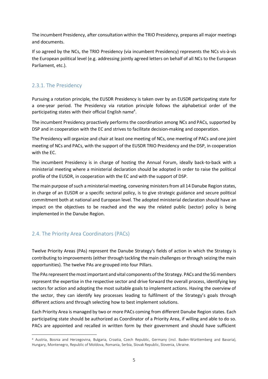The incumbent Presidency, after consultation within the TRIO Presidency, prepares all major meetings and documents.

If so agreed by the NCs, the TRIO Presidency (via incumbent Presidency) represents the NCs vis-à-vis the European political level (e.g. addressing jointly agreed letters on behalf of all NCs to the European Parliament, etc.).

#### <span id="page-6-0"></span>2.3.1. The Presidency

Pursuing a rotation principle, the EUSDR Presidency is taken over by an EUSDR participating state for a one-year period. The Presidency via rotation principle follows the alphabetical order of the participating states with their official English name<sup>4</sup>.

The incumbent Presidency proactively performs the coordination among NCs and PACs, supported by DSP and in cooperation with the EC and strives to facilitate decision-making and cooperation.

The Presidency will organize and chair at least one meeting of NCs, one meeting of PACs and one joint meeting of NCs and PACs, with the support of the EUSDR TRIO Presidency and the DSP, in cooperation with the EC.

The incumbent Presidency is in charge of hosting the Annual Forum, ideally back-to-back with a ministerial meeting where a ministerial declaration should be adopted in order to raise the political profile of the EUSDR, in cooperation with the EC and with the support of DSP.

The main purpose of such a ministerial meeting, convening ministers from all 14 Danube Region states, in charge of an EUSDR or a specific sectoral policy, is to give strategic guidance and secure political commitment both at national and European level. The adopted ministerial declaration should have an impact on the objectives to be reached and the way the related public (sector) policy is being implemented in the Danube Region.

#### <span id="page-6-1"></span>2.4. The Priority Area Coordinators (PACs)

Twelve Priority Areas (PAs) represent the Danube Strategy's fields of action in which the Strategy is contributing to improvements (either through tackling the main challenges or through seizing the main opportunities). The twelve PAs are grouped into four Pillars.

The PAsrepresent the most important and vital components of the Strategy. PACs and the SG members represent the expertise in the respective sector and drive forward the overall process, identifying key sectors for action and adopting the most suitable goals to implement actions. Having the overview of the sector, they can identify key processes leading to fulfilment of the Strategy's goals through different actions and through selecting how to best implement solutions.

Each Priority Area is managed by two or more PACs coming from different Danube Region states. Each participating state should be authorized as Coordinator of a Priority Area, if willing and able to do so. PACs are appointed and recalled in written form by their government and should have sufficient

 $\overline{a}$ <sup>4</sup> Austria, Bosnia and Herzegovina, Bulgaria, Croatia, Czech Republic, Germany (incl. Baden-Württemberg and Bavaria), Hungary, Montenegro, Republic of Moldova, Romania, Serbia, Slovak Republic, Slovenia, Ukraine.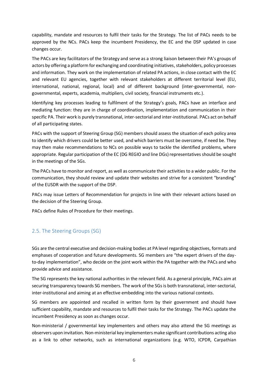capability, mandate and resources to fulfil their tasks for the Strategy. The list of PACs needs to be approved by the NCs. PACs keep the incumbent Presidency, the EC and the DSP updated in case changes occur.

The PACs are key facilitators of the Strategy and serve as a strong liaison between their PA's groups of actors by offering a platform for exchanging and coordinating initiatives, stakeholders, policy processes and information. They work on the implementation of related PA actions, in close contact with the EC and relevant EU agencies, together with relevant stakeholders at different territorial level (EU, international, national, regional, local) and of different background (inter-governmental, nongovernmental, experts, academia, multipliers, civil society, financial instruments etc.).

Identifying key processes leading to fulfilment of the Strategy's goals, PACs have an interface and mediating function: they are in charge of coordination, implementation and communication in their specific PA. Their work is purely transnational, inter-sectorial and inter-institutional. PACs act on behalf of all participating states.

PACs with the support of Steering Group (SG) members should assess the situation of each policy area to identify which drivers could be better used, and which barriers must be overcome, if need be. They may then make recommendations to NCs on possible ways to tackle the identified problems, where appropriate. Regular participation of the EC (DG REGIO and line DGs) representatives should be sought in the meetings of the SGs.

The PACs have to monitor and report, as well as communicate their activities to a wider public. For the communication, they should review and update their websites and strive for a consistent "branding" of the EUSDR with the support of the DSP.

PACs may issue Letters of Recommendation for projects in line with their relevant actions based on the decision of the Steering Group.

PACs define Rules of Procedure for their meetings.

#### <span id="page-7-0"></span>2.5. The Steering Groups (SG)

SGs are the central executive and decision-making bodies at PA level regarding objectives, formats and emphases of cooperation and future developments. SG members are "the expert drivers of the dayto-day implementation", who decide on the joint work within the PA together with the PACs and who provide advice and assistance.

The SG represents the key national authorities in the relevant field. As a general principle, PACs aim at securing transparency towards SG members. The work of the SGs is both transnational, inter-sectorial, inter-institutional and aiming at an effective embedding into the various national contexts.

SG members are appointed and recalled in written form by their government and should have sufficient capability, mandate and resources to fulfil their tasks for the Strategy. The PACs update the incumbent Presidency as soon as changes occur.

Non-ministerial / governmental key implementers and others may also attend the SG meetings as observers upon invitation. Non-ministerial key implementers make significant contributions acting also as a link to other networks, such as international organizations (e.g. WTO, ICPDR, Carpathian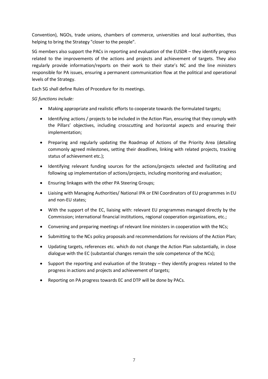Convention), NGOs, trade unions, chambers of commerce, universities and local authorities, thus helping to bring the Strategy "closer to the people".

SG members also support the PACs in reporting and evaluation of the EUSDR – they identify progress related to the improvements of the actions and projects and achievement of targets. They also regularly provide information/reports on their work to their state's NC and the line ministers responsible for PA issues, ensuring a permanent communication flow at the political and operational levels of the Strategy.

Each SG shall define Rules of Procedure for its meetings.

#### *SG functions include:*

- Making appropriate and realistic efforts to cooperate towards the formulated targets;
- Identifying actions / projects to be included in the Action Plan, ensuring that they comply with the Pillars' objectives, including crosscutting and horizontal aspects and ensuring their implementation;
- Preparing and regularly updating the Roadmap of Actions of the Priority Area (detailing commonly agreed milestones, setting their deadlines, linking with related projects, tracking status of achievement etc.);
- Identifying relevant funding sources for the actions/projects selected and facilitating and following up implementation of actions/projects, including monitoring and evaluation;
- Ensuring linkages with the other PA Steering Groups;
- Liaising with Managing Authorities/ National IPA or ENI Coordinators of EU programmes in EU and non-EU states;
- With the support of the EC, liaising with: relevant EU programmes managed directly by the Commission; international financial institutions, regional cooperation organizations, etc.;
- Convening and preparing meetings of relevant line ministers in cooperation with the NCs;
- Submitting to the NCs policy proposals and recommendations for revisions of the Action Plan;
- Updating targets, references etc. which do not change the Action Plan substantially, in close dialogue with the EC (substantial changes remain the sole competence of the NCs);
- Support the reporting and evaluation of the Strategy they identify progress related to the progress in actions and projects and achievement of targets;
- Reporting on PA progress towards EC and DTP will be done by PACs.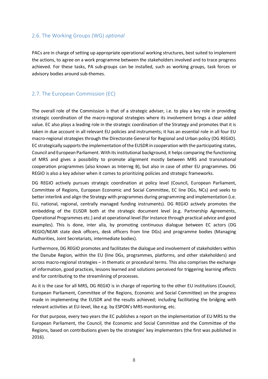#### <span id="page-9-0"></span>2.6. The Working Groups (WG) *optional*

PACs are in charge of setting up appropriate operational working structures, best suited to implement the actions, to agree on a work programme between the stakeholders involved and to trace progress achieved. For these tasks, PA sub-groups can be installed, such as working groups, task forces or advisory bodies around sub-themes.

#### <span id="page-9-1"></span>2.7. The European Commission (EC)

The overall role of the Commission is that of a strategic adviser, i.e. to play a key role in providing strategic coordination of the macro-regional strategies where its involvement brings a clear added value. EC also plays a leading role in the strategic coordination of the Strategy and promotes that it is taken in due account in all relevant EU policies and instruments; it has an essential role in all four EU macro-regional strategies through the Directorate General for Regional and Urban policy (DG REGIO). EC strategically supports the implementation of the EUSDR in cooperation with the participating states, Council and European Parliament. With its institutional background, it helps comparing the functioning of MRS and gives a possibility to promote alignment mostly between MRS and transnational cooperation programmes (also known as Interreg B), but also in case of other EU programmes. DG REGIO is also a key adviser when it comes to prioritizing policies and strategic frameworks.

DG REGIO actively pursues strategic coordination at policy level (Council, European Parliament, Committee of Regions, European Economic and Social Committee, EC line DGs, NCs) and seeks to better interlink and align the Strategy with programmes during programming and implementation (i.e. EU, national, regional, centrally managed funding instruments). DG REGIO actively promotes the embedding of the EUSDR both at the strategic document level (e.g. Partnership Agreements, Operational Programmes etc.) and at operational level (for instance through practical advice and good examples). This is done, inter alia, by promoting continuous dialogue between EC actors (DG REGIO/NEAR state desk officers, desk officers from line DGs) and programme bodies (Managing Authorities, Joint Secretariats, intermediate bodies).

Furthermore, DG REGIO promotes and facilitates the dialogue and involvement of stakeholders within the Danube Region, within the EU (line DGs, programmes, platforms, and other stakeholders) and across macro-regional strategies – in thematic or procedural terms. This also comprises the exchange of information, good practices, lessons learned and solutions perceived for triggering learning effects and for contributing to the streamlining of processes.

As it is the case for all MRS, DG REGIO is in charge of reporting to the other EU institutions (Council, European Parliament, Committee of the Regions, Economic and Social Committee) on the progress made in implementing the EUSDR and the results achieved; including facilitating the bridging with relevant activities at EU-level, like e.g. by ESPON's MRS monitoring, etc.

For that purpose, every two years the EC publishes a report on the implementation of EU MRS to the European Parliament, the Council, the Economic and Social Committee and the Committee of the Regions, based on contributions given by the strategies' key implementers (the first was published in 2016).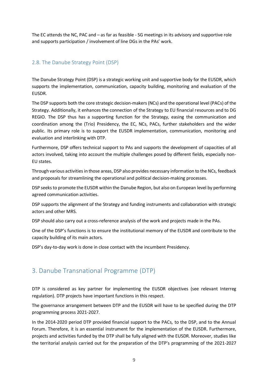The EC attends the NC, PAC and – as far as feasible - SG meetings in its advisory and supportive role and supports participation / involvement of line DGs in the PAs' work.

#### <span id="page-10-0"></span>2.8. The Danube Strategy Point (DSP)

The Danube Strategy Point (DSP) is a strategic working unit and supportive body for the EUSDR, which supports the implementation, communication, capacity building, monitoring and evaluation of the EUSDR.

The DSP supports both the core strategic decision-makers(NCs) and the operational level (PACs) of the Strategy. Additionally, it enhances the connection of the Strategy to EU financial resources and to DG REGIO. The DSP thus has a supporting function for the Strategy, easing the communication and coordination among the (Trio) Presidency, the EC, NCs, PACs, further stakeholders and the wider public. Its primary role is to support the EUSDR implementation, communication, monitoring and evaluation and interlinking with DTP.

Furthermore, DSP offers technical support to PAs and supports the development of capacities of all actors involved, taking into account the multiple challenges posed by different fields, especially non-EU states.

Through various activities in those areas, DSP also provides necessary information to the NCs, feedback and proposals for streamlining the operational and political decision-making processes.

DSP seeks to promote the EUSDR within the Danube Region, but also on European level by performing agreed communication activities.

DSP supports the alignment of the Strategy and funding instruments and collaboration with strategic actors and other MRS.

DSP should also carry out a cross-reference analysis of the work and projects made in the PAs.

One of the DSP's functions is to ensure the institutional memory of the EUSDR and contribute to the capacity building of its main actors.

DSP's day-to-day work is done in close contact with the incumbent Presidency.

### <span id="page-10-1"></span>3. Danube Transnational Programme (DTP)

DTP is considered as key partner for implementing the EUSDR objectives (see relevant Interreg regulation). DTP projects have important functions in this respect.

The governance arrangement between DTP and the EUSDR will have to be specified during the DTP programming process 2021-2027.

In the 2014-2020 period DTP provided financial support to the PACs*,* to the DSP, and to the Annual Forum. Therefore, it is an essential instrument for the implementation of the EUSDR. Furthermore, projects and activities funded by the DTP shall be fully aligned with the EUSDR. Moreover, studies like the territorial analysis carried out for the preparation of the DTP's programming of the 2021-2027